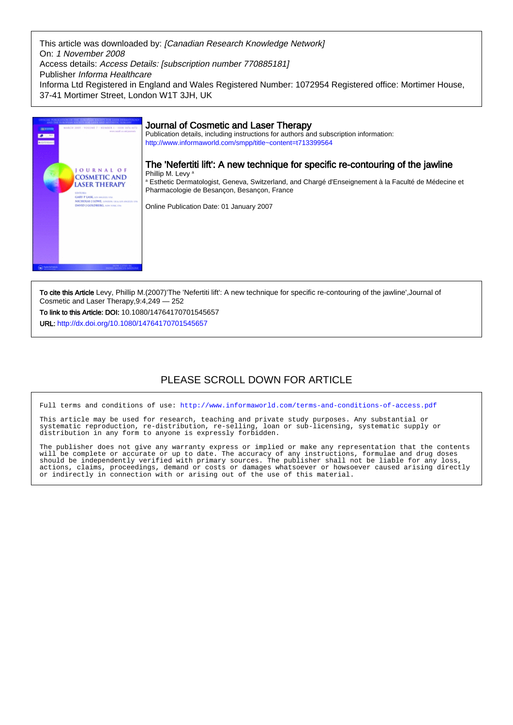This article was downloaded by: [Canadian Research Knowledge Network] On: 1 November 2008 Access details: Access Details: [subscription number 770885181] Publisher Informa Healthcare Informa Ltd Registered in England and Wales Registered Number: 1072954 Registered office: Mortimer House, 37-41 Mortimer Street, London W1T 3JH, UK



To cite this Article Levy, Phillip M.(2007)'The 'Nefertiti lift': A new technique for specific re-contouring of the jawline',Journal of Cosmetic and Laser Therapy,9:4,249 — 252

To link to this Article: DOI: 10.1080/14764170701545657

URL: <http://dx.doi.org/10.1080/14764170701545657>

# PLEASE SCROLL DOWN FOR ARTICLE

Full terms and conditions of use:<http://www.informaworld.com/terms-and-conditions-of-access.pdf>

This article may be used for research, teaching and private study purposes. Any substantial or systematic reproduction, re-distribution, re-selling, loan or sub-licensing, systematic supply or distribution in any form to anyone is expressly forbidden.

The publisher does not give any warranty express or implied or make any representation that the contents will be complete or accurate or up to date. The accuracy of any instructions, formulae and drug doses should be independently verified with primary sources. The publisher shall not be liable for any loss, actions, claims, proceedings, demand or costs or damages whatsoever or howsoever caused arising directly or indirectly in connection with or arising out of the use of this material.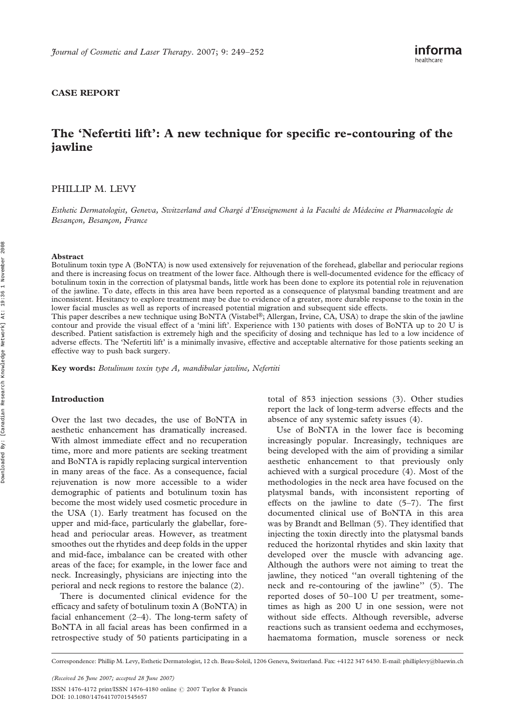### CASE REPORT

# The 'Nefertiti lift': A new technique for specific re-contouring of the jawline

# PHILLIP M. LEVY

Esthetic Dermatologist, Geneva, Switzerland and Chargé d'Enseignement à la Faculté de Médecine et Pharmacologie de Besançon, Besançon, France

#### Abstract

Botulinum toxin type A (BoNTA) is now used extensively for rejuvenation of the forehead, glabellar and periocular regions and there is increasing focus on treatment of the lower face. Although there is well-documented evidence for the efficacy of botulinum toxin in the correction of platysmal bands, little work has been done to explore its potential role in rejuvenation of the jawline. To date, effects in this area have been reported as a consequence of platysmal banding treatment and are inconsistent. Hesitancy to explore treatment may be due to evidence of a greater, more durable response to the toxin in the lower facial muscles as well as reports of increased potential migration and subsequent side effects.

This paper describes a new technique using  $B\ddot{o}NTA$  (Vistabel<sup>®</sup>; Allergan, Irvine, CA, USA) to drape the skin of the jawline contour and provide the visual effect of a 'mini lift'. Experience with 130 patients with doses of BoNTA up to 20 U is described. Patient satisfaction is extremely high and the specificity of dosing and technique has led to a low incidence of adverse effects. The 'Nefertiti lift' is a minimally invasive, effective and acceptable alternative for those patients seeking an effective way to push back surgery.

Key words: Botulinum toxin type A, mandibular jawline, Nefertiti

### Introduction

Over the last two decades, the use of BoNTA in aesthetic enhancement has dramatically increased. With almost immediate effect and no recuperation time, more and more patients are seeking treatment and BoNTA is rapidly replacing surgical intervention in many areas of the face. As a consequence, facial rejuvenation is now more accessible to a wider demographic of patients and botulinum toxin has become the most widely used cosmetic procedure in the USA (1). Early treatment has focused on the upper and mid-face, particularly the glabellar, forehead and periocular areas. However, as treatment smoothes out the rhytides and deep folds in the upper and mid-face, imbalance can be created with other areas of the face; for example, in the lower face and neck. Increasingly, physicians are injecting into the perioral and neck regions to restore the balance (2).

There is documented clinical evidence for the efficacy and safety of botulinum toxin A (BoNTA) in facial enhancement (2–4). The long-term safety of BoNTA in all facial areas has been confirmed in a retrospective study of 50 patients participating in a total of 853 injection sessions (3). Other studies report the lack of long-term adverse effects and the absence of any systemic safety issues (4).

Use of BoNTA in the lower face is becoming increasingly popular. Increasingly, techniques are being developed with the aim of providing a similar aesthetic enhancement to that previously only achieved with a surgical procedure (4). Most of the methodologies in the neck area have focused on the platysmal bands, with inconsistent reporting of effects on the jawline to date (5–7). The first documented clinical use of BoNTA in this area was by Brandt and Bellman (5). They identified that injecting the toxin directly into the platysmal bands reduced the horizontal rhytides and skin laxity that developed over the muscle with advancing age. Although the authors were not aiming to treat the jawline, they noticed ''an overall tightening of the neck and re-contouring of the jawline'' (5). The reported doses of 50–100 U per treatment, sometimes as high as 200 U in one session, were not without side effects. Although reversible, adverse reactions such as transient oedema and ecchymoses, haematoma formation, muscle soreness or neck

Correspondence: Phillip M. Levy, Esthetic Dermatologist, 12 ch. Beau-Soleil, 1206 Geneva, Switzerland. Fax: *+*4122 347 6430. E-mail: philliplevy@bluewin.ch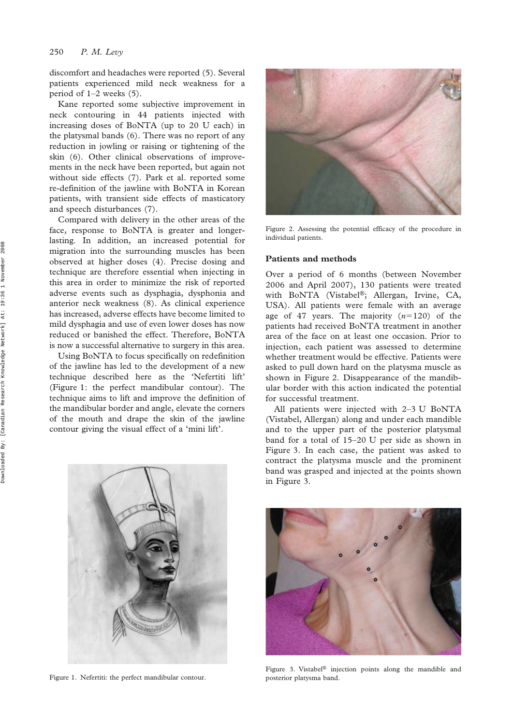discomfort and headaches were reported (5). Several patients experienced mild neck weakness for a period of 1–2 weeks (5).

Kane reported some subjective improvement in neck contouring in 44 patients injected with increasing doses of BoNTA (up to 20 U each) in the platysmal bands (6). There was no report of any reduction in jowling or raising or tightening of the skin (6). Other clinical observations of improvements in the neck have been reported, but again not without side effects (7). Park et al. reported some re-definition of the jawline with BoNTA in Korean patients, with transient side effects of masticatory and speech disturbances (7).

Compared with delivery in the other areas of the face, response to BoNTA is greater and longerlasting. In addition, an increased potential for migration into the surrounding muscles has been observed at higher doses (4). Precise dosing and technique are therefore essential when injecting in this area in order to minimize the risk of reported adverse events such as dysphagia, dysphonia and anterior neck weakness (8). As clinical experience has increased, adverse effects have become limited to mild dysphagia and use of even lower doses has now reduced or banished the effect. Therefore, BoNTA is now a successful alternative to surgery in this area.

Using BoNTA to focus specifically on redefinition of the jawline has led to the development of a new technique described here as the 'Nefertiti lift' (Figure 1: the perfect mandibular contour). The technique aims to lift and improve the definition of the mandibular border and angle, elevate the corners of the mouth and drape the skin of the jawline contour giving the visual effect of a 'mini lift'.



Figure 2. Assessing the potential efficacy of the procedure in individual patients.

## Patients and methods

Over a period of 6 months (between November 2006 and April 2007), 130 patients were treated with BoNTA (Vistabel®; Allergan, Irvine, CA, USA). All patients were female with an average age of 47 years. The majority  $(n=120)$  of the patients had received BoNTA treatment in another area of the face on at least one occasion. Prior to injection, each patient was assessed to determine whether treatment would be effective. Patients were asked to pull down hard on the platysma muscle as shown in Figure 2. Disappearance of the mandibular border with this action indicated the potential for successful treatment.

All patients were injected with 2–3 U BoNTA (Vistabel, Allergan) along and under each mandible and to the upper part of the posterior platysmal band for a total of 15–20 U per side as shown in Figure 3. In each case, the patient was asked to contract the platysma muscle and the prominent band was grasped and injected at the points shown in Figure 3.



Figure 1. Nefertiti: the perfect mandibular contour.



Figure 3. Vistabel® injection points along the mandible and posterior platysma band.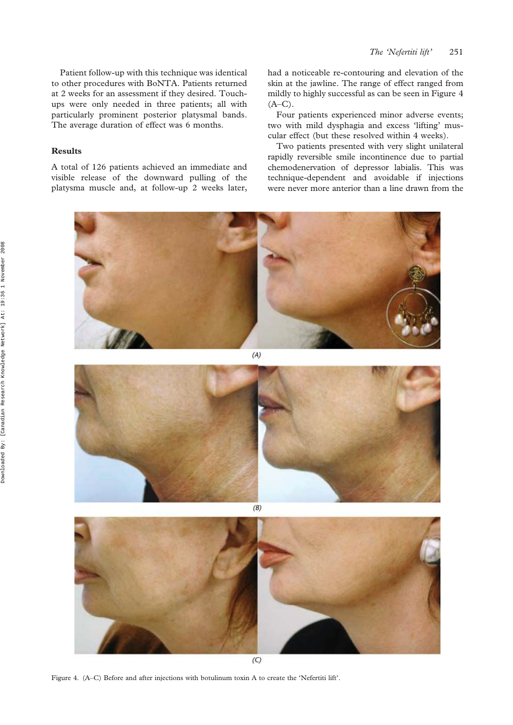Patient follow-up with this technique was identical to other procedures with BoNTA. Patients returned at 2 weeks for an assessment if they desired. Touchups were only needed in three patients; all with particularly prominent posterior platysmal bands. The average duration of effect was 6 months.

## Results

A total of 126 patients achieved an immediate and visible release of the downward pulling of the platysma muscle and, at follow-up 2 weeks later, had a noticeable re-contouring and elevation of the skin at the jawline. The range of effect ranged from mildly to highly successful as can be seen in Figure 4  $(A-C)$ .

Four patients experienced minor adverse events; two with mild dysphagia and excess 'lifting' muscular effect (but these resolved within 4 weeks).

Two patients presented with very slight unilateral rapidly reversible smile incontinence due to partial chemodenervation of depressor labialis. This was technique-dependent and avoidable if injections were never more anterior than a line drawn from the











 $(C)$